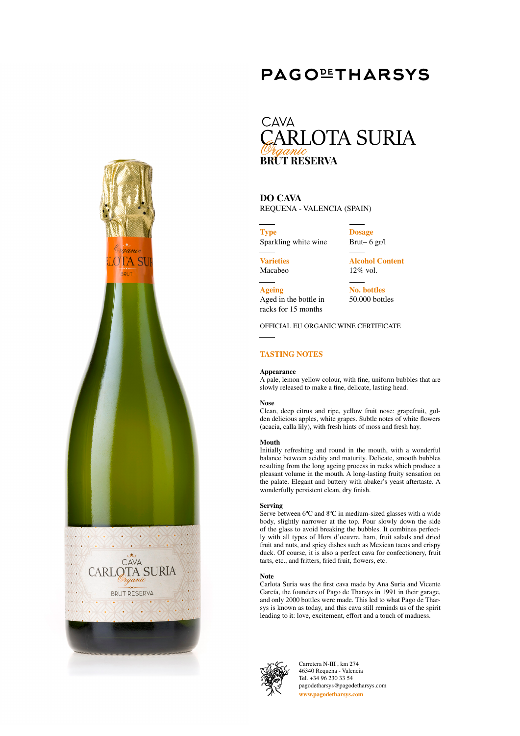

# **PAGOLIHARSYS**

## **CAVA ARLOTA SURIA BRUT RESERVA**

**DO CAVA** REQUENA - VALENCIA (SPAIN)

**Type** Sparkling white wine **Dosage**

**Varieties** Macabeo

**Ageing**

Brut– 6 gr/l **Alcohol Content**

**No. bottles** 50.000 bottles

12% vol.

Aged in the bottle in racks for 15 months

OFFICIAL EU ORGANIC WINE CERTIFICATE

## **TASTING NOTES**

### **Appearance**

A pale, lemon yellow colour, with fine, uniform bubbles that are slowly released to make a fine, delicate, lasting head.

### **Nose**

Clean, deep citrus and ripe, yellow fruit nose: grapefruit, golden delicious apples, white grapes. Subtle notes of white flowers (acacia, calla lily), with fresh hints of moss and fresh hay.

### **Mouth**

Initially refreshing and round in the mouth, with a wonderful balance between acidity and maturity. Delicate, smooth bubbles resulting from the long ageing process in racks which produce a pleasant volume in the mouth. A long-lasting fruity sensation on the palate. Elegant and buttery with abaker's yeast aftertaste. A wonderfully persistent clean, dry finish.

#### **Serving**

Serve between 6°C and 8°C in medium-sized glasses with a wide body, slightly narrower at the top. Pour slowly down the side of the glass to avoid breaking the bubbles. It combines perfectly with all types of Hors d'oeuvre, ham, fruit salads and dried fruit and nuts, and spicy dishes such as Mexican tacos and crispy duck. Of course, it is also a perfect cava for confectionery, fruit tarts, etc., and fritters, fried fruit, flowers, etc.

### **Note**

Carlota Suria was the first cava made by Ana Suria and Vicente García, the founders of Pago de Tharsys in 1991 in their garage, and only 2000 bottles were made. This led to what Pago de Tharsys is known as today, and this cava still reminds us of the spirit leading to it: love, excitement, effort and a touch of madness.



Carretera N-III , km 274 46340 Requena - Valencia Tel. +34 96 230 33 54 pagodetharsys@pagodetharsys.com **www.pagodetharsys.com**